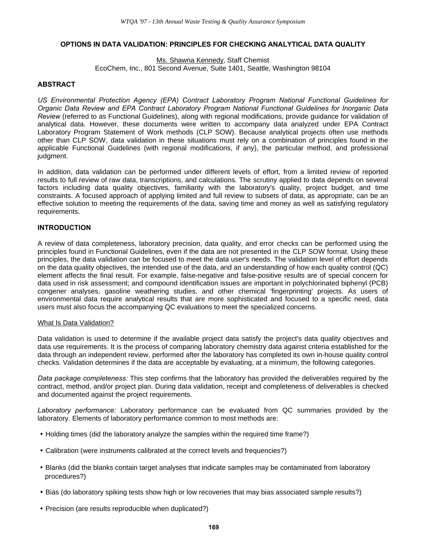# **OPTIONS IN DATA VALIDATION: PRINCIPLES FOR CHECKING ANALYTICAL DATA QUALITY**

Ms. Shawna Kennedy, Staff Chemist EcoChem, Inc., 801 Second Avenue, Suite 1401, Seattle, Washington 98104

# **ABSTRACT**

*US Environmental Protection Agency (EPA) Contract Laboratory Program National Functional Guidelines for Organic Data Review and EPA Contract Laboratory Program National Functional Guidelines for Inorganic Data Review* (referred to as Functional Guidelines), along with regional modifications, provide guidance for validation of analytical data. However, these documents were written to accompany data analyzed under EPA Contract Laboratory Program Statement of Work methods (CLP SOW). Because analytical projects often use methods other than CLP SOW, data validation in these situations must rely on a combination of principles found in the applicable Functional Guidelines (with regional modifications, if any), the particular method, and professional judgment.

In addition, data validation can be performed under different levels of effort, from a limited review of reported results to full review of raw data, transcriptions, and calculations. The scrutiny applied to data depends on several factors including data quality objectives, familiarity with the laboratory's quality, project budget, and time constraints. A focused approach of applying limited and full review to subsets of data, as appropriate, can be an effective solution to meeting the requirements of the data, saving time and money as well as satisfying regulatory requirements.

### **INTRODUCTION**

A review of data completeness, laboratory precision, data quality, and error checks can be performed using the principles found in Functional Guidelines, even if the data are not presented in the CLP SOW format. Using these principles, the data validation can be focused to meet the data user's needs. The validation level of effort depends on the data quality objectives, the intended use of the data, and an understanding of how each quality control (QC) element affects the final result. For example, false-negative and false-positive results are of special concern for data used in risk assessment; and compound identification issues are important in polychlorinated biphenyl (PCB) congener analyses, gasoline weathering studies, and other chemical 'fingerprinting' projects. As users of environmental data require analytical results that are more sophisticated and focused to a specific need, data users must also focus the accompanying QC evaluations to meet the specialized concerns.

#### What Is Data Validation?

Data validation is used to determine if the available project data satisfy the project's data quality objectives and data use requirements. It is the process of comparing laboratory chemistry data against criteria established for the data through an independent review, performed after the laboratory has completed its own in-house quality control checks. Validation determines if the data are acceptable by evaluating, at a minimum, the following categories.

*Data package completeness:* This step confirms that the laboratory has provided the deliverables required by the contract, method, and/or project plan. During data validation, receipt and completeness of deliverables is checked and documented against the project requirements.

*Laboratory performance:* Laboratory performance can be evaluated from QC summaries provided by the laboratory. Elements of laboratory performance common to most methods are:

- Holding times (did the laboratory analyze the samples within the required time frame?)
- Calibration (were instruments calibrated at the correct levels and frequencies?)
- Blanks (did the blanks contain target analyses that indicate samples may be contaminated from laboratory procedures?)
- Bias (do laboratory spiking tests show high or low recoveries that may bias associated sample results?)
- Precision (are results reproducible when duplicated?)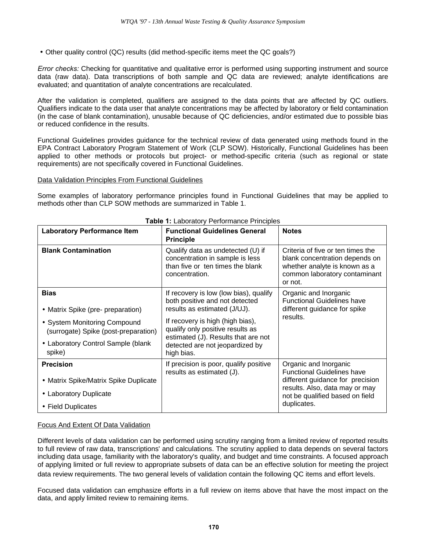• Other quality control (QC) results (did method-specific items meet the QC goals?)

*Error checks:* Checking for quantitative and qualitative error is performed using supporting instrument and source data (raw data). Data transcriptions of both sample and QC data are reviewed; analyte identifications are evaluated; and quantitation of analyte concentrations are recalculated.

After the validation is completed, qualifiers are assigned to the data points that are affected by QC outliers. Qualifiers indicate to the data user that analyte concentrations may be affected by laboratory or field contamination (in the case of blank contamination), unusable because of QC deficiencies, and/or estimated due to possible bias or reduced confidence in the results.

Functional Guidelines provides guidance for the technical review of data generated using methods found in the EPA Contract Laboratory Program Statement of Work (CLP SOW). Historically, Functional Guidelines has been applied to other methods or protocols but project- or method-specific criteria (such as regional or state requirements) are not specifically covered in Functional Guidelines.

### Data Validation Principles From Functional Guidelines

Some examples of laboratory performance principles found in Functional Guidelines that may be applied to methods other than CLP SOW methods are summarized in Table 1.

| <b>Laboratory Performance Item</b>                                   | <b>Functional Guidelines General</b><br><b>Principle</b>                                                                                                                                     | <b>Notes</b>                                                                                                                                     |
|----------------------------------------------------------------------|----------------------------------------------------------------------------------------------------------------------------------------------------------------------------------------------|--------------------------------------------------------------------------------------------------------------------------------------------------|
| <b>Blank Contamination</b>                                           | Qualify data as undetected (U) if<br>concentration in sample is less<br>than five or ten times the blank<br>concentration.                                                                   | Criteria of five or ten times the<br>blank concentration depends on<br>whether analyte is known as a<br>common laboratory contaminant<br>or not. |
| <b>Bias</b>                                                          | If recovery is low (low bias), qualify<br>both positive and not detected                                                                                                                     | Organic and Inorganic<br><b>Functional Guidelines have</b>                                                                                       |
| • Matrix Spike (pre- preparation)                                    | results as estimated (J/UJ).<br>If recovery is high (high bias),<br>qualify only positive results as<br>estimated (J). Results that are not<br>detected are not jeopardized by<br>high bias. | different guidance for spike<br>results.                                                                                                         |
| • System Monitoring Compound<br>(surrogate) Spike (post-preparation) |                                                                                                                                                                                              |                                                                                                                                                  |
| • Laboratory Control Sample (blank<br>spike)                         |                                                                                                                                                                                              |                                                                                                                                                  |
| <b>Precision</b>                                                     | If precision is poor, qualify positive<br>results as estimated (J).                                                                                                                          | Organic and Inorganic<br><b>Functional Guidelines have</b>                                                                                       |
| • Matrix Spike/Matrix Spike Duplicate                                |                                                                                                                                                                                              | different guidance for precision                                                                                                                 |
| • Laboratory Duplicate                                               |                                                                                                                                                                                              | results. Also, data may or may<br>not be qualified based on field                                                                                |
| • Field Duplicates                                                   |                                                                                                                                                                                              | duplicates.                                                                                                                                      |

## **Table 1:** Laboratory Performance Principles

### Focus And Extent Of Data Validation

Different levels of data validation can be performed using scrutiny ranging from a limited review of reported results to full review of raw data, transcriptions' and calculations. The scrutiny applied to data depends on several factors including data usage, familiarity with the laboratory's quality, and budget and time constraints. A focused approach of applying limited or full review to appropriate subsets of data can be an effective solution for meeting the project data review requirements. The two general levels of validation contain the following QC items and effort levels.

Focused data validation can emphasize efforts in a full review on items above that have the most impact on the data, and apply limited review to remaining items.